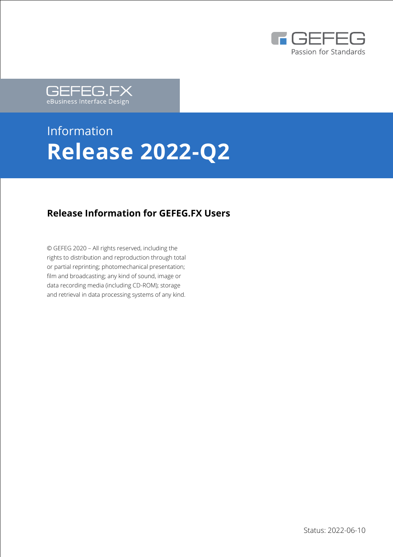



# Information **Release 2022-Q2**

#### **Release Information for GEFEG.FX Users**

© GEFEG 2020 – All rights reserved, including the rights to distribution and reproduction through total or partial reprinting; photomechanical presentation; film and broadcasting; any kind of sound, image or data recording media (including CD-ROM); storage and retrieval in data processing systems of any kind.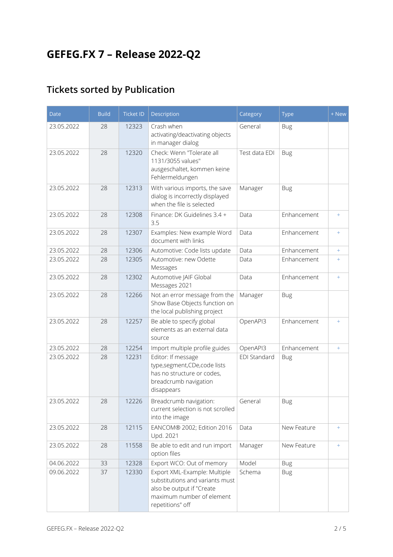# **GEFEG.FX 7 – Release 2022-Q2**

## **Tickets sorted by Publication**

| <b>Date</b> | <b>Build</b> | <b>Ticket ID</b> | Description                                                                                                                                   | Category            | <b>Type</b> | + New |
|-------------|--------------|------------------|-----------------------------------------------------------------------------------------------------------------------------------------------|---------------------|-------------|-------|
| 23.05.2022  | 28           | 12323            | Crash when<br>activating/deactivating objects<br>in manager dialog                                                                            | General             | <b>Bug</b>  |       |
| 23.05.2022  | 28           | 12320            | Check: Wenn "Tolerate all<br>1131/3055 values"<br>ausgeschaltet, kommen keine<br>Fehlermeldungen                                              | Test data EDI       | <b>Bug</b>  |       |
| 23.05.2022  | 28           | 12313            | With various imports, the save<br>dialog is incorrectly displayed<br>when the file is selected                                                | Manager             | <b>Bug</b>  |       |
| 23.05.2022  | 28           | 12308            | Finance: DK Guidelines 3.4 +<br>3.5                                                                                                           | Data                | Enhancement | $+$   |
| 23.05.2022  | 28           | 12307            | Examples: New example Word<br>document with links                                                                                             | Data                | Enhancement | $+$   |
| 23.05.2022  | 28           | 12306            | Automotive: Code lists update                                                                                                                 | Data                | Enhancement | $+$   |
| 23.05.2022  | 28           | 12305            | Automotive: new Odette<br>Messages                                                                                                            | Data                | Enhancement | $+$   |
| 23.05.2022  | 28           | 12302            | Automotive JAIF Global<br>Messages 2021                                                                                                       | Data                | Enhancement | $+$   |
| 23.05.2022  | 28           | 12266            | Not an error message from the<br>Show Base Objects function on<br>the local publishing project                                                | Manager             | <b>Bug</b>  |       |
| 23.05.2022  | 28           | 12257            | Be able to specify global<br>elements as an external data<br>source                                                                           | OpenAPI3            | Enhancement | $+$   |
| 23.05.2022  | 28           | 12254            | Import multiple profile guides                                                                                                                | OpenAPI3            | Enhancement | $+$   |
| 23.05.2022  | 28           | 12231            | Editor: If message<br>type,segment,CDe,code lists<br>has no structure or codes,<br>breadcrumb navigation<br>disappears                        | <b>EDI Standard</b> | <b>Bug</b>  |       |
| 23.05.2022  | 28           | 12226            | Breadcrumb navigation:<br>current selection is not scrolled<br>into the image                                                                 | General             | <b>Bug</b>  |       |
| 23.05.2022  | 28           | 12115            | EANCOM® 2002; Edition 2016<br>Upd. 2021                                                                                                       | Data                | New Feature | $+$   |
| 23.05.2022  | 28           | 11558            | Be able to edit and run import<br>option files                                                                                                | Manager             | New Feature | $+$   |
| 04.06.2022  | 33           | 12328            | Export WCO: Out of memory                                                                                                                     | Model               | <b>Bug</b>  |       |
| 09.06.2022  | 37           | 12330            | Export XML-Example: Multiple<br>substitutions and variants must<br>also be output if "Create<br>maximum number of element<br>repetitions" off | Schema              | <b>Bug</b>  |       |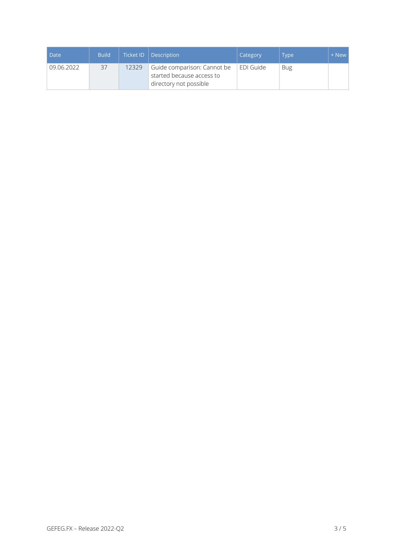| Date       | <b>Build</b> |       | Ticket ID   Description                                                            | Category  | Type       | + New |
|------------|--------------|-------|------------------------------------------------------------------------------------|-----------|------------|-------|
| 09.06.2022 | 37           | 12329 | Guide comparison: Cannot be<br>started because access to<br>directory not possible | EDI Guide | <b>Bug</b> |       |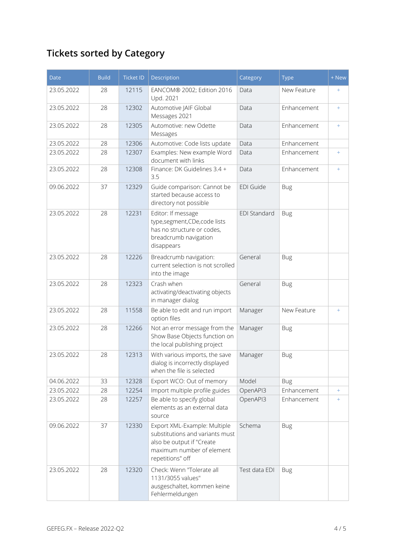# **Tickets sorted by Category**

| <b>Date</b> | <b>Build</b> | <b>Ticket ID</b> | Description                                                                                                                                   | Category            | <b>Type</b> | + New |
|-------------|--------------|------------------|-----------------------------------------------------------------------------------------------------------------------------------------------|---------------------|-------------|-------|
| 23.05.2022  | 28           | 12115            | EANCOM® 2002; Edition 2016<br>Upd. 2021                                                                                                       | Data                | New Feature | $+$   |
| 23.05.2022  | 28           | 12302            | Automotive JAIF Global<br>Messages 2021                                                                                                       | Data                | Enhancement | $+$   |
| 23.05.2022  | 28           | 12305            | Automotive: new Odette<br>Messages                                                                                                            | Data                | Enhancement | $+$   |
| 23.05.2022  | 28           | 12306            | Automotive: Code lists update                                                                                                                 | Data                | Enhancement |       |
| 23.05.2022  | 28           | 12307            | Examples: New example Word<br>document with links                                                                                             | Data                | Enhancement | $+$   |
| 23.05.2022  | 28           | 12308            | Finance: DK Guidelines 3.4 +<br>3.5                                                                                                           | Data                | Enhancement | $+$   |
| 09.06.2022  | 37           | 12329            | Guide comparison: Cannot be<br>started because access to<br>directory not possible                                                            | EDI Guide           | <b>Bug</b>  |       |
| 23.05.2022  | 28           | 12231            | Editor: If message<br>type,segment,CDe,code lists<br>has no structure or codes,<br>breadcrumb navigation<br>disappears                        | <b>EDI Standard</b> | <b>Bug</b>  |       |
| 23.05.2022  | 28           | 12226            | Breadcrumb navigation:<br>current selection is not scrolled<br>into the image                                                                 | General             | <b>Bug</b>  |       |
| 23.05.2022  | 28           | 12323            | Crash when<br>activating/deactivating objects<br>in manager dialog                                                                            | General             | <b>Bug</b>  |       |
| 23.05.2022  | 28           | 11558            | Be able to edit and run import<br>option files                                                                                                | Manager             | New Feature | $+$   |
| 23.05.2022  | 28           | 12266            | Not an error message from the<br>Show Base Objects function on<br>the local publishing project                                                | Manager             | <b>Bug</b>  |       |
| 23.05.2022  | 28           | 12313            | With various imports, the save<br>dialog is incorrectly displayed<br>when the file is selected                                                | Manager             | Bug         |       |
| 04.06.2022  | 33           | 12328            | Export WCO: Out of memory                                                                                                                     | Model               | <b>Bug</b>  |       |
| 23.05.2022  | 28           | 12254            | Import multiple profile guides                                                                                                                | OpenAPI3            | Enhancement | $+$   |
| 23.05.2022  | 28           | 12257            | Be able to specify global<br>elements as an external data<br>source                                                                           | OpenAPI3            | Enhancement | $+$   |
| 09.06.2022  | 37           | 12330            | Export XML-Example: Multiple<br>substitutions and variants must<br>also be output if "Create<br>maximum number of element<br>repetitions" off | Schema              | <b>Bug</b>  |       |
| 23.05.2022  | 28           | 12320            | Check: Wenn "Tolerate all<br>1131/3055 values"<br>ausgeschaltet, kommen keine<br>Fehlermeldungen                                              | Test data EDI       | <b>Bug</b>  |       |